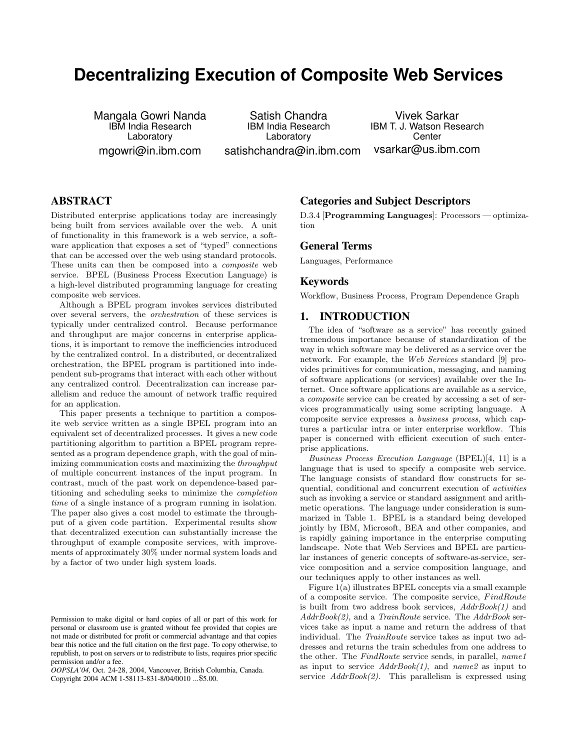# **Decentralizing Execution of Composite Web Services**

Mangala Gowri Nanda IBM India Research Laboratory mgowri@in.ibm.com

Satish Chandra IBM India Research Laboratory satishchandra@in.ibm.com

Vivek Sarkar IBM T. J. Watson Research Center vsarkar@us.ibm.com

# **ABSTRACT**

Distributed enterprise applications today are increasingly being built from services available over the web. A unit of functionality in this framework is a web service, a software application that exposes a set of "typed" connections that can be accessed over the web using standard protocols. These units can then be composed into a composite web service. BPEL (Business Process Execution Language) is a high-level distributed programming language for creating composite web services.

Although a BPEL program invokes services distributed over several servers, the orchestration of these services is typically under centralized control. Because performance and throughput are major concerns in enterprise applications, it is important to remove the inefficiencies introduced by the centralized control. In a distributed, or decentralized orchestration, the BPEL program is partitioned into independent sub-programs that interact with each other without any centralized control. Decentralization can increase parallelism and reduce the amount of network traffic required for an application.

This paper presents a technique to partition a composite web service written as a single BPEL program into an equivalent set of decentralized processes. It gives a new code partitioning algorithm to partition a BPEL program represented as a program dependence graph, with the goal of minimizing communication costs and maximizing the throughput of multiple concurrent instances of the input program. In contrast, much of the past work on dependence-based partitioning and scheduling seeks to minimize the completion time of a single instance of a program running in isolation. The paper also gives a cost model to estimate the throughput of a given code partition. Experimental results show that decentralized execution can substantially increase the throughput of example composite services, with improvements of approximately 30% under normal system loads and by a factor of two under high system loads.

*OOPSLA'04,* Oct. 24-28, 2004, Vancouver, British Columbia, Canada. Copyright 2004 ACM 1-58113-831-8/04/0010 ...\$5.00.

# **Categories and Subject Descriptors**

D.3.4 [Programming Languages]: Processors — optimization

# **General Terms**

Languages, Performance

#### **Keywords**

Workflow, Business Process, Program Dependence Graph

### **1. INTRODUCTION**

The idea of "software as a service" has recently gained tremendous importance because of standardization of the way in which software may be delivered as a service over the network. For example, the Web Services standard [9] provides primitives for communication, messaging, and naming of software applications (or services) available over the Internet. Once software applications are available as a service, a composite service can be created by accessing a set of services programmatically using some scripting language. A composite service expresses a business process, which captures a particular intra or inter enterprise workflow. This paper is concerned with efficient execution of such enterprise applications.

Business Process Execution Language (BPEL)[4, 11] is a language that is used to specify a composite web service. The language consists of standard flow constructs for sequential, conditional and concurrent execution of activities such as invoking a service or standard assignment and arithmetic operations. The language under consideration is summarized in Table 1. BPEL is a standard being developed jointly by IBM, Microsoft, BEA and other companies, and is rapidly gaining importance in the enterprise computing landscape. Note that Web Services and BPEL are particular instances of generic concepts of software-as-service, service composition and a service composition language, and our techniques apply to other instances as well.

Figure 1(a) illustrates BPEL concepts via a small example of a composite service. The composite service, FindRoute is built from two address book services,  $AddrBook(1)$  and  $AddrBook(2)$ , and a *TrainRoute* service. The  $AddrBook$  services take as input a name and return the address of that individual. The TrainRoute service takes as input two addresses and returns the train schedules from one address to the other. The FindRoute service sends, in parallel, name1 as input to service  $AdarBook(1)$ , and name2 as input to service  $AddrBook(2)$ . This parallelism is expressed using

Permission to make digital or hard copies of all or part of this work for personal or classroom use is granted without fee provided that copies are not made or distributed for profit or commercial advantage and that copies bear this notice and the full citation on the first page. To copy otherwise, to republish, to post on servers or to redistribute to lists, requires prior specific permission and/or a fee.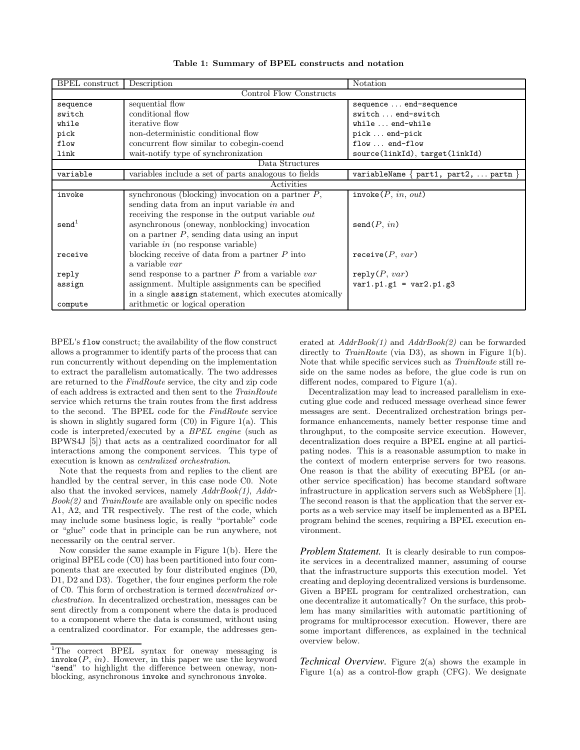| BPEL construct          | Description                                              | Notation                                   |  |  |  |  |
|-------------------------|----------------------------------------------------------|--------------------------------------------|--|--|--|--|
| Control Flow Constructs |                                                          |                                            |  |  |  |  |
| sequence                | sequential flow                                          | sequence  end-sequence                     |  |  |  |  |
| switch                  | conditional flow                                         | switch  end-switch                         |  |  |  |  |
| while                   | iterative flow                                           | while  end-while                           |  |  |  |  |
| pick                    | non-deterministic conditional flow                       | pick  end-pick                             |  |  |  |  |
| flow                    | concurrent flow similar to cobegin-coend                 | flow  end-flow                             |  |  |  |  |
| link                    | wait-notify type of synchronization                      | source(linkId), target(linkId)             |  |  |  |  |
| Data Structures         |                                                          |                                            |  |  |  |  |
| variable                | variables include a set of parts analogous to fields     | variableName { $part1$ , $part2$ , $part1$ |  |  |  |  |
| Activities              |                                                          |                                            |  |  |  |  |
| invoke                  | synchronous (blocking) invocation on a partner $P$ ,     | invoke(P, in, out)                         |  |  |  |  |
|                         | sending data from an input variable $in$ and             |                                            |  |  |  |  |
|                         | receiving the response in the output variable <i>out</i> |                                            |  |  |  |  |
| send <sup>1</sup>       | asynchronous (oneway, nonblocking) invocation            | send(P, in)                                |  |  |  |  |
|                         | on a partner $P$ , sending data using an input           |                                            |  |  |  |  |
|                         | variable <i>in</i> (no response variable)                |                                            |  |  |  |  |
| receive                 | blocking receive of data from a partner $P$ into         | receive $(P, var)$                         |  |  |  |  |
|                         | a variable var                                           |                                            |  |  |  |  |
| reply                   | send response to a partner $P$ from a variable var       | reply $(P, var)$                           |  |  |  |  |
| assign                  | assignment. Multiple assignments can be specified        | $var1.p1.g1 = var2.p1.g3$                  |  |  |  |  |
|                         | in a single assign statement, which executes atomically  |                                            |  |  |  |  |
| compute                 | arithmetic or logical operation                          |                                            |  |  |  |  |

Table 1: Summary of BPEL constructs and notation

BPEL's flow construct; the availability of the flow construct allows a programmer to identify parts of the process that can run concurrently without depending on the implementation to extract the parallelism automatically. The two addresses are returned to the FindRoute service, the city and zip code of each address is extracted and then sent to the TrainRoute service which returns the train routes from the first address to the second. The BPEL code for the FindRoute service is shown in slightly sugared form  $(C0)$  in Figure 1(a). This code is interpreted/executed by a BPEL engine (such as BPWS4J [5]) that acts as a centralized coordinator for all interactions among the component services. This type of execution is known as centralized orchestration.

Note that the requests from and replies to the client are handled by the central server, in this case node C0. Note also that the invoked services, namely  $Add\tau Book(1)$ ,  $Addr$ - $Book(2)$  and  $TrainRoot$  are available only on specific nodes A1, A2, and TR respectively. The rest of the code, which may include some business logic, is really "portable" code or "glue" code that in principle can be run anywhere, not necessarily on the central server.

Now consider the same example in Figure 1(b). Here the original BPEL code (C0) has been partitioned into four components that are executed by four distributed engines (D0, D1, D2 and D3). Together, the four engines perform the role of C0. This form of orchestration is termed decentralized orchestration. In decentralized orchestration, messages can be sent directly from a component where the data is produced to a component where the data is consumed, without using a centralized coordinator. For example, the addresses generated at AddrBook(1) and AddrBook(2) can be forwarded directly to *TrainRoute* (via D3), as shown in Figure 1(b). Note that while specific services such as TrainRoute still reside on the same nodes as before, the glue code is run on different nodes, compared to Figure 1(a).

Decentralization may lead to increased parallelism in executing glue code and reduced message overhead since fewer messages are sent. Decentralized orchestration brings performance enhancements, namely better response time and throughput, to the composite service execution. However, decentralization does require a BPEL engine at all participating nodes. This is a reasonable assumption to make in the context of modern enterprise servers for two reasons. One reason is that the ability of executing BPEL (or another service specification) has become standard software infrastructure in application servers such as WebSphere [1]. The second reason is that the application that the server exports as a web service may itself be implemented as a BPEL program behind the scenes, requiring a BPEL execution environment.

*Problem Statement.* It is clearly desirable to run composite services in a decentralized manner, assuming of course that the infrastructure supports this execution model. Yet creating and deploying decentralized versions is burdensome. Given a BPEL program for centralized orchestration, can one decentralize it automatically? On the surface, this problem has many similarities with automatic partitioning of programs for multiprocessor execution. However, there are some important differences, as explained in the technical overview below.

*Technical Overview.* Figure 2(a) shows the example in Figure  $1(a)$  as a control-flow graph (CFG). We designate

<sup>&</sup>lt;sup>1</sup>The correct BPEL syntax for oneway messaging is  $invoke(P, in)$ . However, in this paper we use the keyword "send" to highlight the difference between oneway, nonblocking, asynchronous invoke and synchronous invoke.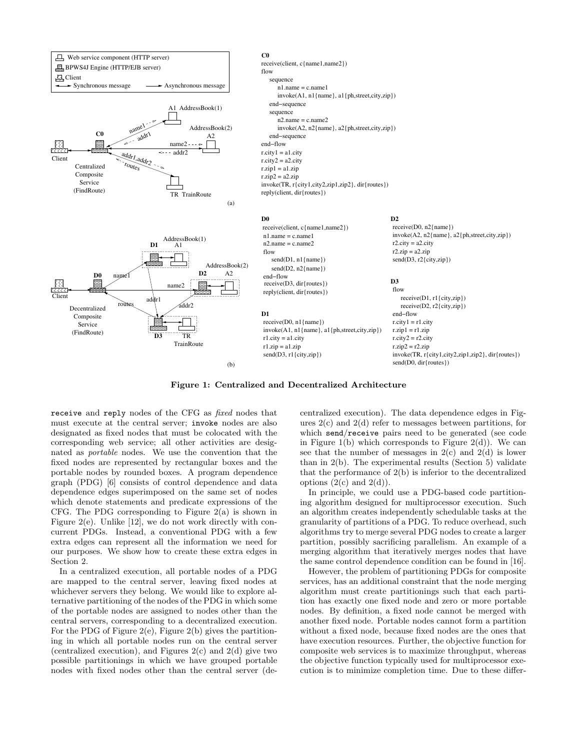

Figure 1: Centralized and Decentralized Architecture

receive and reply nodes of the CFG as fixed nodes that must execute at the central server; invoke nodes are also designated as fixed nodes that must be colocated with the corresponding web service; all other activities are designated as portable nodes. We use the convention that the fixed nodes are represented by rectangular boxes and the portable nodes by rounded boxes. A program dependence graph (PDG) [6] consists of control dependence and data dependence edges superimposed on the same set of nodes which denote statements and predicate expressions of the CFG. The PDG corresponding to Figure  $2(a)$  is shown in Figure 2(e). Unlike [12], we do not work directly with concurrent PDGs. Instead, a conventional PDG with a few extra edges can represent all the information we need for our purposes. We show how to create these extra edges in Section 2.

In a centralized execution, all portable nodes of a PDG are mapped to the central server, leaving fixed nodes at whichever servers they belong. We would like to explore alternative partitioning of the nodes of the PDG in which some of the portable nodes are assigned to nodes other than the central servers, corresponding to a decentralized execution. For the PDG of Figure  $2(e)$ , Figure  $2(b)$  gives the partitioning in which all portable nodes run on the central server (centralized execution), and Figures  $2(c)$  and  $2(d)$  give two possible partitionings in which we have grouped portable nodes with fixed nodes other than the central server (decentralized execution). The data dependence edges in Figures  $2(c)$  and  $2(d)$  refer to messages between partitions, for which send/receive pairs need to be generated (see code in Figure 1(b) which corresponds to Figure 2(d)). We can see that the number of messages in  $2(c)$  and  $2(d)$  is lower than in 2(b). The experimental results (Section 5) validate that the performance of 2(b) is inferior to the decentralized options  $(2(c)$  and  $2(d)$ ).

In principle, we could use a PDG-based code partitioning algorithm designed for multiprocessor execution. Such an algorithm creates independently schedulable tasks at the granularity of partitions of a PDG. To reduce overhead, such algorithms try to merge several PDG nodes to create a larger partition, possibly sacrificing parallelism. An example of a merging algorithm that iteratively merges nodes that have the same control dependence condition can be found in [16].

However, the problem of partitioning PDGs for composite services, has an additional constraint that the node merging algorithm must create partitionings such that each partition has exactly one fixed node and zero or more portable nodes. By definition, a fixed node cannot be merged with another fixed node. Portable nodes cannot form a partition without a fixed node, because fixed nodes are the ones that have execution resources. Further, the objective function for composite web services is to maximize throughput, whereas the objective function typically used for multiprocessor execution is to minimize completion time. Due to these differ-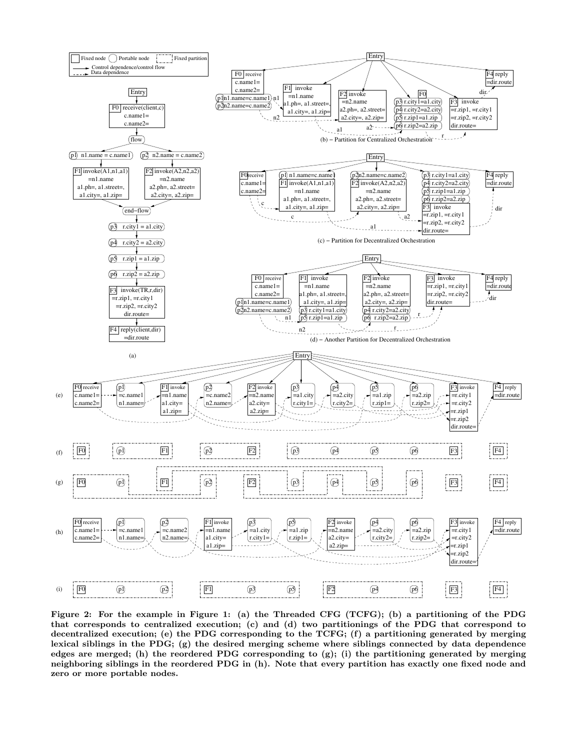

Figure 2: For the example in Figure 1: (a) the Threaded CFG (TCFG); (b) a partitioning of the PDG that corresponds to centralized execution; (c) and (d) two partitionings of the PDG that correspond to decentralized execution; (e) the PDG corresponding to the TCFG; (f) a partitioning generated by merging lexical siblings in the PDG; (g) the desired merging scheme where siblings connected by data dependence edges are merged; (h) the reordered PDG corresponding to (g); (i) the partitioning generated by merging neighboring siblings in the reordered PDG in (h). Note that every partition has exactly one fixed node and zero or more portable nodes.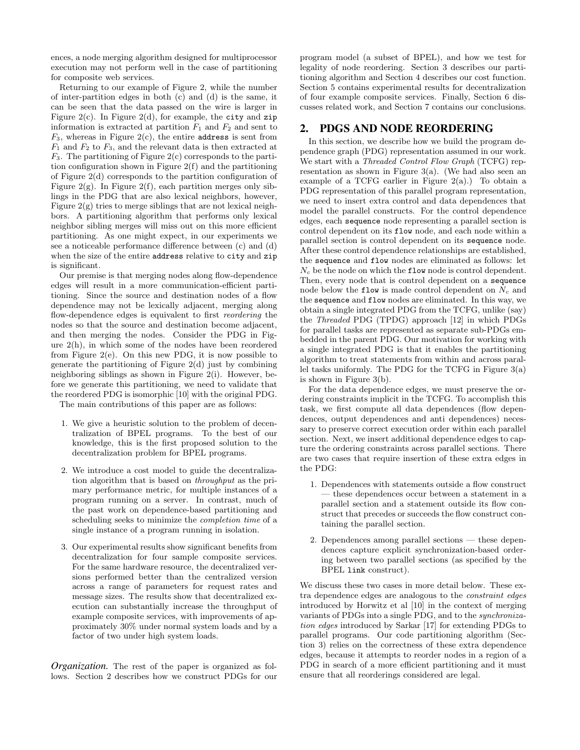ences, a node merging algorithm designed for multiprocessor execution may not perform well in the case of partitioning for composite web services.

Returning to our example of Figure 2, while the number of inter-partition edges in both (c) and (d) is the same, it can be seen that the data passed on the wire is larger in Figure 2(c). In Figure 2(d), for example, the city and zip information is extracted at partition  $F_1$  and  $F_2$  and sent to  $F_3$ , whereas in Figure 2(c), the entire address is sent from  $F_1$  and  $F_2$  to  $F_3$ , and the relevant data is then extracted at  $F_3$ . The partitioning of Figure 2(c) corresponds to the partition configuration shown in Figure 2(f) and the partitioning of Figure 2(d) corresponds to the partition configuration of Figure  $2(g)$ . In Figure  $2(f)$ , each partition merges only siblings in the PDG that are also lexical neighbors, however, Figure  $2(g)$  tries to merge siblings that are not lexical neighbors. A partitioning algorithm that performs only lexical neighbor sibling merges will miss out on this more efficient partitioning. As one might expect, in our experiments we see a noticeable performance difference between (c) and (d) when the size of the entire address relative to city and zip is significant.

Our premise is that merging nodes along flow-dependence edges will result in a more communication-efficient partitioning. Since the source and destination nodes of a flow dependence may not be lexically adjacent, merging along flow-dependence edges is equivalent to first reordering the nodes so that the source and destination become adjacent, and then merging the nodes. Consider the PDG in Figure 2(h), in which some of the nodes have been reordered from Figure 2(e). On this new PDG, it is now possible to generate the partitioning of Figure  $2(d)$  just by combining neighboring siblings as shown in Figure 2(i). However, before we generate this partitioning, we need to validate that the reordered PDG is isomorphic [10] with the original PDG.

The main contributions of this paper are as follows:

- 1. We give a heuristic solution to the problem of decentralization of BPEL programs. To the best of our knowledge, this is the first proposed solution to the decentralization problem for BPEL programs.
- 2. We introduce a cost model to guide the decentralization algorithm that is based on throughput as the primary performance metric, for multiple instances of a program running on a server. In contrast, much of the past work on dependence-based partitioning and scheduling seeks to minimize the completion time of a single instance of a program running in isolation.
- 3. Our experimental results show significant benefits from decentralization for four sample composite services. For the same hardware resource, the decentralized versions performed better than the centralized version across a range of parameters for request rates and message sizes. The results show that decentralized execution can substantially increase the throughput of example composite services, with improvements of approximately 30% under normal system loads and by a factor of two under high system loads.

*Organization.* The rest of the paper is organized as follows. Section 2 describes how we construct PDGs for our program model (a subset of BPEL), and how we test for legality of node reordering. Section 3 describes our partitioning algorithm and Section 4 describes our cost function. Section 5 contains experimental results for decentralization of four example composite services. Finally, Section 6 discusses related work, and Section 7 contains our conclusions.

## **2. PDGS AND NODE REORDERING**

In this section, we describe how we build the program dependence graph (PDG) representation assumed in our work. We start with a *Threaded Control Flow Graph* (TCFG) representation as shown in Figure 3(a). (We had also seen an example of a TCFG earlier in Figure  $2(a)$ .) To obtain a PDG representation of this parallel program representation, we need to insert extra control and data dependences that model the parallel constructs. For the control dependence edges, each sequence node representing a parallel section is control dependent on its flow node, and each node within a parallel section is control dependent on its sequence node. After these control dependence relationships are established, the sequence and flow nodes are eliminated as follows: let  $N_c$  be the node on which the flow node is control dependent. Then, every node that is control dependent on a sequence node below the flow is made control dependent on  $N_c$  and the sequence and flow nodes are eliminated. In this way, we obtain a single integrated PDG from the TCFG, unlike (say) the Threaded PDG (TPDG) approach [12] in which PDGs for parallel tasks are represented as separate sub-PDGs embedded in the parent PDG. Our motivation for working with a single integrated PDG is that it enables the partitioning algorithm to treat statements from within and across parallel tasks uniformly. The PDG for the TCFG in Figure 3(a) is shown in Figure 3(b).

For the data dependence edges, we must preserve the ordering constraints implicit in the TCFG. To accomplish this task, we first compute all data dependences (flow dependences, output dependences and anti dependences) necessary to preserve correct execution order within each parallel section. Next, we insert additional dependence edges to capture the ordering constraints across parallel sections. There are two cases that require insertion of these extra edges in the PDG:

- 1. Dependences with statements outside a flow construct — these dependences occur between a statement in a parallel section and a statement outside its flow construct that precedes or succeeds the flow construct containing the parallel section.
- 2. Dependences among parallel sections these dependences capture explicit synchronization-based ordering between two parallel sections (as specified by the BPEL link construct).

We discuss these two cases in more detail below. These extra dependence edges are analogous to the constraint edges introduced by Horwitz et al [10] in the context of merging variants of PDGs into a single PDG, and to the synchronization edges introduced by Sarkar [17] for extending PDGs to parallel programs. Our code partitioning algorithm (Section 3) relies on the correctness of these extra dependence edges, because it attempts to reorder nodes in a region of a PDG in search of a more efficient partitioning and it must ensure that all reorderings considered are legal.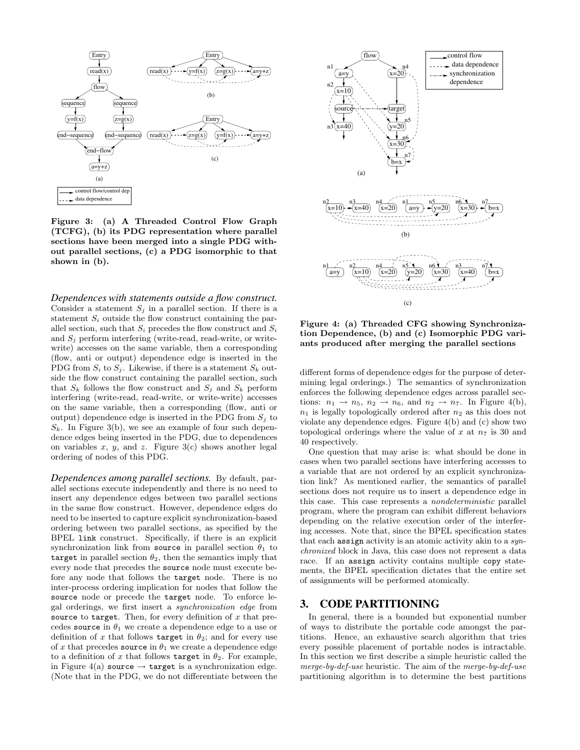

Figure 3: (a) A Threaded Control Flow Graph (TCFG), (b) its PDG representation where parallel sections have been merged into a single PDG without parallel sections, (c) a PDG isomorphic to that shown in (b).

*Dependences with statements outside a flow construct.* Consider a statement  $S_i$  in a parallel section. If there is a statement  $S_i$  outside the flow construct containing the parallel section, such that  $S_i$  precedes the flow construct and  $S_i$ and  $S_i$  perform interfering (write-read, read-write, or writewrite) accesses on the same variable, then a corresponding (flow, anti or output) dependence edge is inserted in the PDG from  $S_i$  to  $S_j$ . Likewise, if there is a statement  $S_k$  outside the flow construct containing the parallel section, such that  $S_k$  follows the flow construct and  $S_j$  and  $S_k$  perform interfering (write-read, read-write, or write-write) accesses on the same variable, then a corresponding (flow, anti or output) dependence edge is inserted in the PDG from  $S_j$  to  $S_k$ . In Figure 3(b), we see an example of four such dependence edges being inserted in the PDG, due to dependences on variables  $x, y$ , and  $z$ . Figure 3(c) shows another legal ordering of nodes of this PDG.

*Dependences among parallel sections.* By default, parallel sections execute independently and there is no need to insert any dependence edges between two parallel sections in the same flow construct. However, dependence edges do need to be inserted to capture explicit synchronization-based ordering between two parallel sections, as specified by the BPEL link construct. Specifically, if there is an explicit synchronization link from source in parallel section  $\theta_1$  to target in parallel section  $\theta_2$ , then the semantics imply that every node that precedes the source node must execute before any node that follows the target node. There is no inter-process ordering implication for nodes that follow the source node or precede the target node. To enforce legal orderings, we first insert a synchronization edge from source to target. Then, for every definition of  $x$  that precedes source in  $\theta_1$  we create a dependence edge to a use or definition of x that follows target in  $\theta_2$ ; and for every use of x that precedes source in  $\theta_1$  we create a dependence edge to a definition of x that follows target in  $\theta_2$ . For example, in Figure 4(a) source  $\rightarrow$  target is a synchronization edge. (Note that in the PDG, we do not differentiate between the



Figure 4: (a) Threaded CFG showing Synchronization Dependence, (b) and (c) Isomorphic PDG variants produced after merging the parallel sections

different forms of dependence edges for the purpose of determining legal orderings.) The semantics of synchronization enforces the following dependence edges across parallel sections:  $n_1 \rightarrow n_5$ ,  $n_2 \rightarrow n_6$ , and  $n_2 \rightarrow n_7$ . In Figure 4(b),  $n_1$  is legally topologically ordered after  $n_2$  as this does not violate any dependence edges. Figure 4(b) and (c) show two topological orderings where the value of x at  $n<sub>7</sub>$  is 30 and 40 respectively.

One question that may arise is: what should be done in cases when two parallel sections have interfering accesses to a variable that are not ordered by an explicit synchronization link? As mentioned earlier, the semantics of parallel sections does not require us to insert a dependence edge in this case. This case represents a nondeterministic parallel program, where the program can exhibit different behaviors depending on the relative execution order of the interfering accesses. Note that, since the BPEL specification states that each assign activity is an atomic activity akin to a synchronized block in Java, this case does not represent a data race. If an assign activity contains multiple copy statements, the BPEL specification dictates that the entire set of assignments will be performed atomically.

# **3. CODE PARTITIONING**

In general, there is a bounded but exponential number of ways to distribute the portable code amongst the partitions. Hence, an exhaustive search algorithm that tries every possible placement of portable nodes is intractable. In this section we first describe a simple heuristic called the merge-by-def-use heuristic. The aim of the merge-by-def-use partitioning algorithm is to determine the best partitions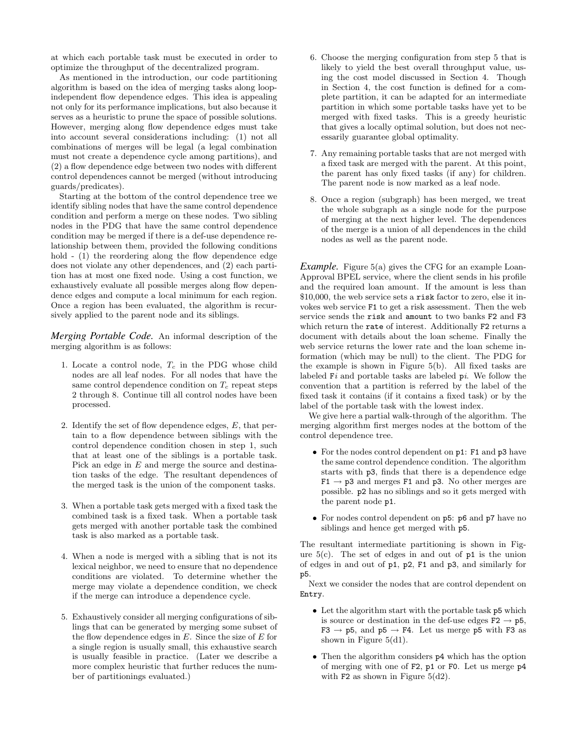at which each portable task must be executed in order to optimize the throughput of the decentralized program.

As mentioned in the introduction, our code partitioning algorithm is based on the idea of merging tasks along loopindependent flow dependence edges. This idea is appealing not only for its performance implications, but also because it serves as a heuristic to prune the space of possible solutions. However, merging along flow dependence edges must take into account several considerations including: (1) not all combinations of merges will be legal (a legal combination must not create a dependence cycle among partitions), and (2) a flow dependence edge between two nodes with different control dependences cannot be merged (without introducing guards/predicates).

Starting at the bottom of the control dependence tree we identify sibling nodes that have the same control dependence condition and perform a merge on these nodes. Two sibling nodes in the PDG that have the same control dependence condition may be merged if there is a def-use dependence relationship between them, provided the following conditions hold - (1) the reordering along the flow dependence edge does not violate any other dependences, and (2) each partition has at most one fixed node. Using a cost function, we exhaustively evaluate all possible merges along flow dependence edges and compute a local minimum for each region. Once a region has been evaluated, the algorithm is recursively applied to the parent node and its siblings.

*Merging Portable Code.* An informal description of the merging algorithm is as follows:

- 1. Locate a control node,  $T_c$  in the PDG whose child nodes are all leaf nodes. For all nodes that have the same control dependence condition on  $T_c$  repeat steps 2 through 8. Continue till all control nodes have been processed.
- 2. Identify the set of flow dependence edges, E, that pertain to a flow dependence between siblings with the control dependence condition chosen in step 1, such that at least one of the siblings is a portable task. Pick an edge in E and merge the source and destination tasks of the edge. The resultant dependences of the merged task is the union of the component tasks.
- 3. When a portable task gets merged with a fixed task the combined task is a fixed task. When a portable task gets merged with another portable task the combined task is also marked as a portable task.
- 4. When a node is merged with a sibling that is not its lexical neighbor, we need to ensure that no dependence conditions are violated. To determine whether the merge may violate a dependence condition, we check if the merge can introduce a dependence cycle.
- 5. Exhaustively consider all merging configurations of siblings that can be generated by merging some subset of the flow dependence edges in  $E$ . Since the size of  $E$  for a single region is usually small, this exhaustive search is usually feasible in practice. (Later we describe a more complex heuristic that further reduces the number of partitionings evaluated.)
- 6. Choose the merging configuration from step 5 that is likely to yield the best overall throughput value, using the cost model discussed in Section 4. Though in Section 4, the cost function is defined for a complete partition, it can be adapted for an intermediate partition in which some portable tasks have yet to be merged with fixed tasks. This is a greedy heuristic that gives a locally optimal solution, but does not necessarily guarantee global optimality.
- 7. Any remaining portable tasks that are not merged with a fixed task are merged with the parent. At this point, the parent has only fixed tasks (if any) for children. The parent node is now marked as a leaf node.
- 8. Once a region (subgraph) has been merged, we treat the whole subgraph as a single node for the purpose of merging at the next higher level. The dependences of the merge is a union of all dependences in the child nodes as well as the parent node.

*Example.* Figure 5(a) gives the CFG for an example Loan-Approval BPEL service, where the client sends in his profile and the required loan amount. If the amount is less than \$10,000, the web service sets a risk factor to zero, else it invokes web service F1 to get a risk assessment. Then the web service sends the risk and amount to two banks F2 and F3 which return the rate of interest. Additionally F2 returns a document with details about the loan scheme. Finally the web service returns the lower rate and the loan scheme information (which may be null) to the client. The PDG for the example is shown in Figure 5(b). All fixed tasks are labeled  $Fi$  and portable tasks are labeled  $pi$ . We follow the convention that a partition is referred by the label of the fixed task it contains (if it contains a fixed task) or by the label of the portable task with the lowest index.

We give here a partial walk-through of the algorithm. The merging algorithm first merges nodes at the bottom of the control dependence tree.

- For the nodes control dependent on p1: F1 and p3 have the same control dependence condition. The algorithm starts with p3, finds that there is a dependence edge  $F1 \rightarrow p3$  and merges F1 and p3. No other merges are possible. p2 has no siblings and so it gets merged with the parent node p1.
- For nodes control dependent on  $p5$ :  $p6$  and  $p7$  have no siblings and hence get merged with p5.

The resultant intermediate partitioning is shown in Figure  $5(c)$ . The set of edges in and out of p1 is the union of edges in and out of p1, p2, F1 and p3, and similarly for p5.

Next we consider the nodes that are control dependent on Entry.

- Let the algorithm start with the portable task p5 which is source or destination in the def-use edges  $F2 \rightarrow p5$ ,  $F3 \rightarrow p5$ , and  $p5 \rightarrow F4$ . Let us merge p5 with F3 as shown in Figure 5(d1).
- Then the algorithm considers p4 which has the option of merging with one of F2, p1 or F0. Let us merge p4 with F2 as shown in Figure  $5(d2)$ .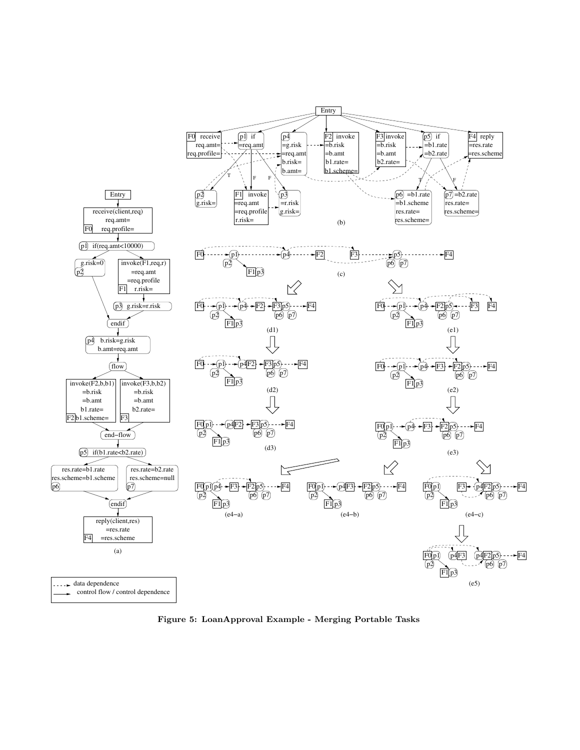

Figure 5: LoanApproval Example - Merging Portable Tasks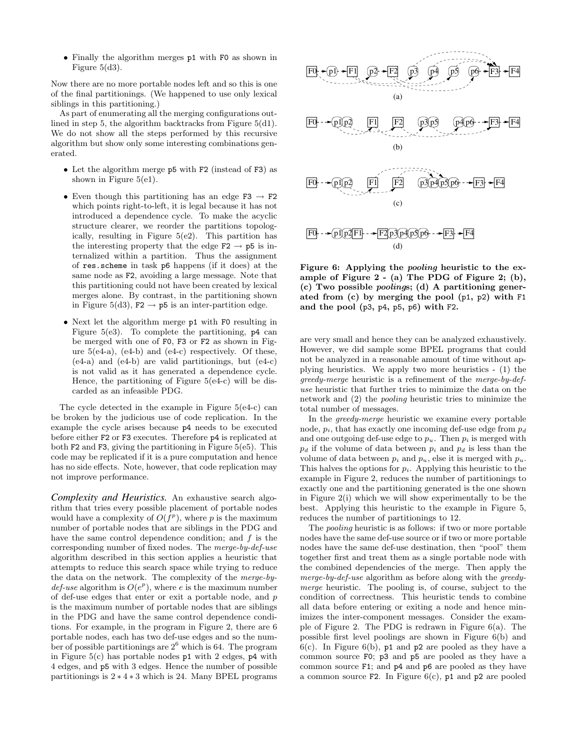• Finally the algorithm merges p1 with F0 as shown in Figure 5(d3).

Now there are no more portable nodes left and so this is one of the final partitionings. (We happened to use only lexical siblings in this partitioning.)

As part of enumerating all the merging configurations outlined in step 5, the algorithm backtracks from Figure 5(d1). We do not show all the steps performed by this recursive algorithm but show only some interesting combinations generated.

- Let the algorithm merge p5 with F2 (instead of F3) as shown in Figure 5(e1).
- Even though this partitioning has an edge  $F3 \rightarrow F2$ which points right-to-left, it is legal because it has not introduced a dependence cycle. To make the acyclic structure clearer, we reorder the partitions topologically, resulting in Figure 5(e2). This partition has the interesting property that the edge  $F2 \rightarrow p5$  is internalized within a partition. Thus the assignment of res.scheme in task p6 happens (if it does) at the same node as F2, avoiding a large message. Note that this partitioning could not have been created by lexical merges alone. By contrast, in the partitioning shown in Figure 5(d3),  $F2 \rightarrow p5$  is an inter-partition edge.
- Next let the algorithm merge p1 with F0 resulting in Figure 5(e3). To complete the partitioning, p4 can be merged with one of F0, F3 or F2 as shown in Figure  $5(e4-a)$ ,  $(e4-b)$  and  $(e4-c)$  respectively. Of these,  $(e4-a)$  and  $(e4-b)$  are valid partitionings, but  $(e4-c)$ is not valid as it has generated a dependence cycle. Hence, the partitioning of Figure  $5(e4-c)$  will be discarded as an infeasible PDG.

The cycle detected in the example in Figure 5(e4-c) can be broken by the judicious use of code replication. In the example the cycle arises because p4 needs to be executed before either F2 or F3 executes. Therefore p4 is replicated at both F2 and F3, giving the partitioning in Figure 5(e5). This code may be replicated if it is a pure computation and hence has no side effects. Note, however, that code replication may not improve performance.

*Complexity and Heuristics.* An exhaustive search algorithm that tries every possible placement of portable nodes would have a complexity of  $O(f^p)$ , where p is the maximum number of portable nodes that are siblings in the PDG and have the same control dependence condition; and f is the corresponding number of fixed nodes. The merge-by-def-use algorithm described in this section applies a heuristic that attempts to reduce this search space while trying to reduce the data on the network. The complexity of the merge-by*def-use* algorithm is  $O(e^p)$ , where e is the maximum number of def-use edges that enter or exit a portable node, and p is the maximum number of portable nodes that are siblings in the PDG and have the same control dependence conditions. For example, in the program in Figure 2, there are 6 portable nodes, each has two def-use edges and so the number of possible partitionings are  $2^6$  which is 64. The program in Figure  $5(c)$  has portable nodes  $p1$  with 2 edges,  $p4$  with 4 edges, and p5 with 3 edges. Hence the number of possible partitionings is 2 ∗ 4 ∗ 3 which is 24. Many BPEL programs



Figure 6: Applying the pooling heuristic to the example of Figure 2 - (a) The PDG of Figure 2; (b), (c) Two possible poolings; (d) A partitioning generated from (c) by merging the pool (p1, p2) with F1 and the pool (p3, p4, p5, p6) with F2.

are very small and hence they can be analyzed exhaustively. However, we did sample some BPEL programs that could not be analyzed in a reasonable amount of time without applying heuristics. We apply two more heuristics - (1) the greedy-merge heuristic is a refinement of the merge-by-defuse heuristic that further tries to minimize the data on the network and (2) the pooling heuristic tries to minimize the total number of messages.

In the greedy-merge heuristic we examine every portable node,  $p_i$ , that has exactly one incoming def-use edge from  $p_d$ and one outgoing def-use edge to  $p_u$ . Then  $p_i$  is merged with  $p_d$  if the volume of data between  $p_i$  and  $p_d$  is less than the volume of data between  $p_i$  and  $p_u$ , else it is merged with  $p_u$ . This halves the options for  $p_i$ . Applying this heuristic to the example in Figure 2, reduces the number of partitionings to exactly one and the partitioning generated is the one shown in Figure 2(i) which we will show experimentally to be the best. Applying this heuristic to the example in Figure 5, reduces the number of partitionings to 12.

The pooling heuristic is as follows: if two or more portable nodes have the same def-use source or if two or more portable nodes have the same def-use destination, then "pool" them together first and treat them as a single portable node with the combined dependencies of the merge. Then apply the merge-by-def-use algorithm as before along with the greedymerge heuristic. The pooling is, of course, subject to the condition of correctness. This heuristic tends to combine all data before entering or exiting a node and hence minimizes the inter-component messages. Consider the example of Figure 2. The PDG is redrawn in Figure 6(a). The possible first level poolings are shown in Figure 6(b) and  $6(c)$ . In Figure  $6(b)$ , p1 and p2 are pooled as they have a common source F0; p3 and p5 are pooled as they have a common source F1; and p4 and p6 are pooled as they have a common source F2. In Figure  $6(c)$ , p1 and p2 are pooled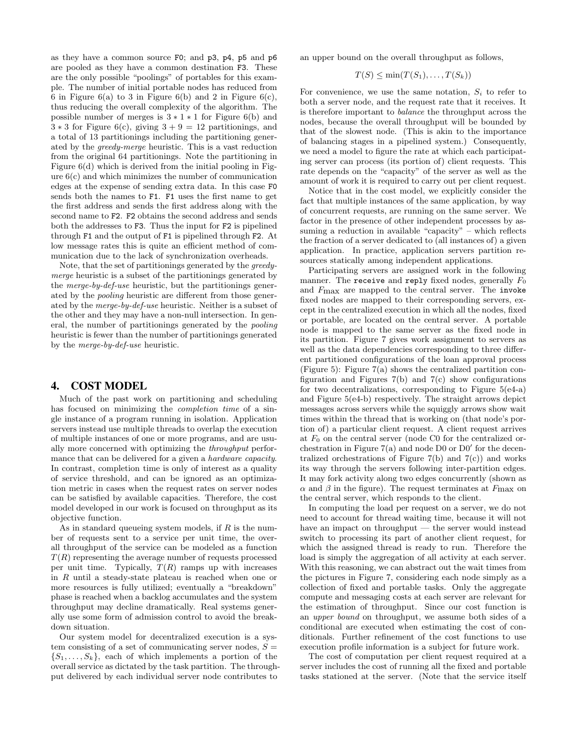as they have a common source F0; and p3, p4, p5 and p6 are pooled as they have a common destination F3. These are the only possible "poolings" of portables for this example. The number of initial portable nodes has reduced from 6 in Figure 6(a) to 3 in Figure 6(b) and 2 in Figure 6(c), thus reducing the overall complexity of the algorithm. The possible number of merges is  $3 * 1 * 1$  for Figure 6(b) and  $3 * 3$  for Figure 6(c), giving  $3 + 9 = 12$  partitionings, and a total of 13 partitionings including the partitioning generated by the greedy-merge heuristic. This is a vast reduction from the original 64 partitionings. Note the partitioning in Figure 6(d) which is derived from the initial pooling in Figure  $6(c)$  and which minimizes the number of communication edges at the expense of sending extra data. In this case F0 sends both the names to F1. F1 uses the first name to get the first address and sends the first address along with the second name to F2. F2 obtains the second address and sends both the addresses to F3. Thus the input for F2 is pipelined through F1 and the output of F1 is pipelined through F2. At low message rates this is quite an efficient method of communication due to the lack of synchronization overheads.

Note, that the set of partitionings generated by the greedymerge heuristic is a subset of the partitionings generated by the merge-by-def-use heuristic, but the partitionings generated by the pooling heuristic are different from those generated by the merge-by-def-use heuristic. Neither is a subset of the other and they may have a non-null intersection. In general, the number of partitionings generated by the pooling heuristic is fewer than the number of partitionings generated by the merge-by-def-use heuristic.

## **4. COST MODEL**

Much of the past work on partitioning and scheduling has focused on minimizing the *completion time* of a single instance of a program running in isolation. Application servers instead use multiple threads to overlap the execution of multiple instances of one or more programs, and are usually more concerned with optimizing the throughput performance that can be delivered for a given a hardware capacity. In contrast, completion time is only of interest as a quality of service threshold, and can be ignored as an optimization metric in cases when the request rates on server nodes can be satisfied by available capacities. Therefore, the cost model developed in our work is focused on throughput as its objective function.

As in standard queueing system models, if  $R$  is the number of requests sent to a service per unit time, the overall throughput of the service can be modeled as a function  $T(R)$  representing the average number of requests processed per unit time. Typically,  $T(R)$  ramps up with increases in R until a steady-state plateau is reached when one or more resources is fully utilized; eventually a "breakdown" phase is reached when a backlog accumulates and the system throughput may decline dramatically. Real systems generally use some form of admission control to avoid the breakdown situation.

Our system model for decentralized execution is a system consisting of a set of communicating server nodes,  $S =$  $\{S_1, \ldots, S_k\}$ , each of which implements a portion of the overall service as dictated by the task partition. The throughput delivered by each individual server node contributes to

an upper bound on the overall throughput as follows,

# $T(S) \le \min(T(S_1), \ldots, T(S_k))$

For convenience, we use the same notation,  $S_i$  to refer to both a server node, and the request rate that it receives. It is therefore important to balance the throughput across the nodes, because the overall throughput will be bounded by that of the slowest node. (This is akin to the importance of balancing stages in a pipelined system.) Consequently, we need a model to figure the rate at which each participating server can process (its portion of) client requests. This rate depends on the "capacity" of the server as well as the amount of work it is required to carry out per client request.

Notice that in the cost model, we explicitly consider the fact that multiple instances of the same application, by way of concurrent requests, are running on the same server. We factor in the presence of other independent processes by assuming a reduction in available "capacity" – which reflects the fraction of a server dedicated to (all instances of) a given application. In practice, application servers partition resources statically among independent applications.

Participating servers are assigned work in the following manner. The receive and reply fixed nodes, generally  $F_0$ and  $F_{\text{max}}$  are mapped to the central server. The invoke fixed nodes are mapped to their corresponding servers, except in the centralized execution in which all the nodes, fixed or portable, are located on the central server. A portable node is mapped to the same server as the fixed node in its partition. Figure 7 gives work assignment to servers as well as the data dependencies corresponding to three different partitioned configurations of the loan approval process (Figure 5): Figure 7(a) shows the centralized partition configuration and Figures 7(b) and 7(c) show configurations for two decentralizations, corresponding to Figure 5(e4-a) and Figure 5(e4-b) respectively. The straight arrows depict messages across servers while the squiggly arrows show wait times within the thread that is working on (that node's portion of) a particular client request. A client request arrives at  $F_0$  on the central server (node C0 for the centralized orchestration in Figure  $7(a)$  and node D0 or D0' for the decentralized orchestrations of Figure  $7(b)$  and  $7(c)$  and works its way through the servers following inter-partition edges. It may fork activity along two edges concurrently (shown as  $\alpha$  and  $\beta$  in the figure). The request terminates at  $F_{\text{max}}$  on the central server, which responds to the client.

In computing the load per request on a server, we do not need to account for thread waiting time, because it will not have an impact on throughput — the server would instead switch to processing its part of another client request, for which the assigned thread is ready to run. Therefore the load is simply the aggregation of all activity at each server. With this reasoning, we can abstract out the wait times from the pictures in Figure 7, considering each node simply as a collection of fixed and portable tasks. Only the aggregate compute and messaging costs at each server are relevant for the estimation of throughput. Since our cost function is an upper bound on throughput, we assume both sides of a conditional are executed when estimating the cost of conditionals. Further refinement of the cost functions to use execution profile information is a subject for future work.

The cost of computation per client request required at a server includes the cost of running all the fixed and portable tasks stationed at the server. (Note that the service itself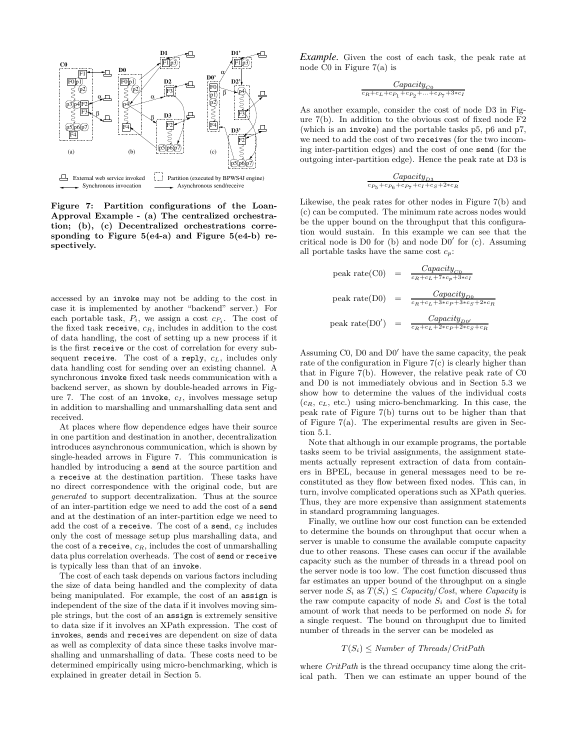

Figure 7: Partition configurations of the Loan-Approval Example - (a) The centralized orchestration; (b), (c) Decentralized orchestrations corresponding to Figure  $5(e4-a)$  and Figure  $5(e4-b)$  respectively.

accessed by an invoke may not be adding to the cost in case it is implemented by another "backend" server.) For each portable task,  $P_i$ , we assign a cost  $c_{P_i}$ . The cost of the fixed task receive,  $c_R$ , includes in addition to the cost of data handling, the cost of setting up a new process if it is the first receive or the cost of correlation for every subsequent receive. The cost of a reply,  $c_L$ , includes only data handling cost for sending over an existing channel. A synchronous invoke fixed task needs communication with a backend server, as shown by double-headed arrows in Figure 7. The cost of an invoke,  $c_I$ , involves message setup in addition to marshalling and unmarshalling data sent and received.

At places where flow dependence edges have their source in one partition and destination in another, decentralization introduces asynchronous communication, which is shown by single-headed arrows in Figure 7. This communication is handled by introducing a send at the source partition and a receive at the destination partition. These tasks have no direct correspondence with the original code, but are generated to support decentralization. Thus at the source of an inter-partition edge we need to add the cost of a send and at the destination of an inter-partition edge we need to add the cost of a receive. The cost of a send,  $c_S$  includes only the cost of message setup plus marshalling data, and the cost of a receive,  $c_R$ , includes the cost of unmarshalling data plus correlation overheads. The cost of send or receive is typically less than that of an invoke.

The cost of each task depends on various factors including the size of data being handled and the complexity of data being manipulated. For example, the cost of an assign is independent of the size of the data if it involves moving simple strings, but the cost of an assign is extremely sensitive to data size if it involves an XPath expression. The cost of invokes, sends and receives are dependent on size of data as well as complexity of data since these tasks involve marshalling and unmarshalling of data. These costs need to be determined empirically using micro-benchmarking, which is explained in greater detail in Section 5.

*Example.* Given the cost of each task, the peak rate at node C0 in Figure 7(a) is

$$
\frac{Capacity_{C0}}{c_R + c_L + c_{P_1} + c_{P_2} + \ldots + c_{P_7} + 3*c_I}
$$

As another example, consider the cost of node D3 in Figure  $7(b)$ . In addition to the obvious cost of fixed node  $F2$ (which is an invoke) and the portable tasks p5, p6 and p7, we need to add the cost of two receives (for the two incoming inter-partition edges) and the cost of one send (for the outgoing inter-partition edge). Hence the peak rate at D3 is

$$
\frac{Capacity_{D3}}{c_{P_5}+c_{P_6}+c_{P_7}+c_I+c_S+2*c_R}
$$

Likewise, the peak rates for other nodes in Figure 7(b) and (c) can be computed. The minimum rate across nodes would be the upper bound on the throughput that this configuration would sustain. In this example we can see that the critical node is D0 for (b) and node  $D0'$  for (c). Assuming all portable tasks have the same cost  $c_p$ :

peak rate(C0) = 
$$
\frac{Capacity_{CO}}{c_R + c_L + 7 \cdot c_P + 3 \cdot c_I}
$$
  
peak rate(D0) = 
$$
\frac{Capacity_{D0}}{c_R + c_L + 3 \cdot c_P + 3 \cdot c_S + 2 \cdot c_R}
$$
  
peak rate(D0') = 
$$
\frac{Capacity_{D0'}}{c_R + c_L + 2 \cdot c_P + 2 \cdot c_S + c_R}
$$

Assuming  $C_0$ ,  $D_0$  and  $D_0'$  have the same capacity, the peak rate of the configuration in Figure 7(c) is clearly higher than that in Figure 7(b). However, the relative peak rate of C0 and D0 is not immediately obvious and in Section 5.3 we show how to determine the values of the individual costs  $(c_R, c_L, \text{etc.})$  using micro-benchmarking. In this case, the peak rate of Figure 7(b) turns out to be higher than that of Figure 7(a). The experimental results are given in Section 5.1.

Note that although in our example programs, the portable tasks seem to be trivial assignments, the assignment statements actually represent extraction of data from containers in BPEL, because in general messages need to be reconstituted as they flow between fixed nodes. This can, in turn, involve complicated operations such as XPath queries. Thus, they are more expensive than assignment statements in standard programming languages.

Finally, we outline how our cost function can be extended to determine the bounds on throughput that occur when a server is unable to consume the available compute capacity due to other reasons. These cases can occur if the available capacity such as the number of threads in a thread pool on the server node is too low. The cost function discussed thus far estimates an upper bound of the throughput on a single server node  $S_i$  as  $T(S_i) \leq Capacity/Cost$ , where Capacity is the raw compute capacity of node  $S_i$  and Cost is the total amount of work that needs to be performed on node  $S_i$  for a single request. The bound on throughput due to limited number of threads in the server can be modeled as

#### $T(S_i) \leq$  Number of Threads/CritPath

where *CritPath* is the thread occupancy time along the critical path. Then we can estimate an upper bound of the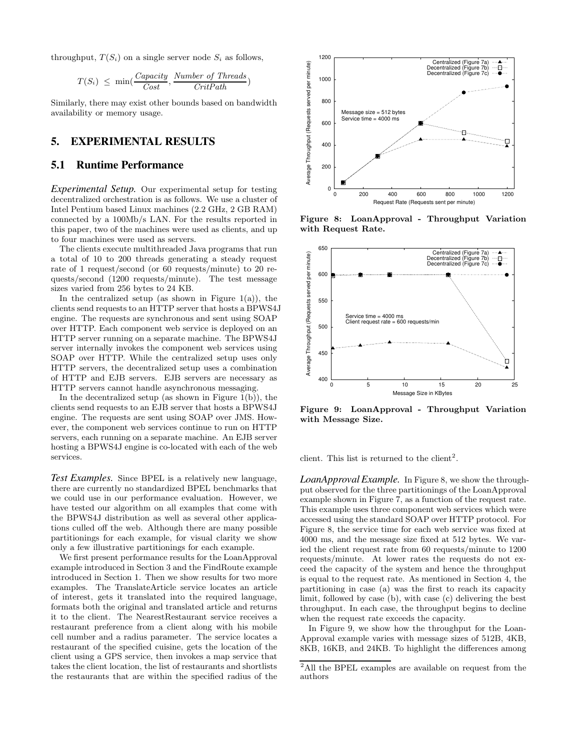throughput,  $T(S_i)$  on a single server node  $S_i$  as follows,

$$
T(S_i) \leq \min(\frac{Capacity}{Cost}, \frac{Number\ of\ Threads}{CritPath})
$$

Similarly, there may exist other bounds based on bandwidth availability or memory usage.

# **5. EXPERIMENTAL RESULTS**

### **5.1 Runtime Performance**

*Experimental Setup.* Our experimental setup for testing decentralized orchestration is as follows. We use a cluster of Intel Pentium based Linux machines (2.2 GHz, 2 GB RAM) connected by a 100Mb/s LAN. For the results reported in this paper, two of the machines were used as clients, and up to four machines were used as servers.

The clients execute multithreaded Java programs that run a total of 10 to 200 threads generating a steady request rate of 1 request/second (or 60 requests/minute) to 20 requests/second (1200 requests/minute). The test message sizes varied from 256 bytes to 24 KB.

In the centralized setup (as shown in Figure 1(a)), the clients send requests to an HTTP server that hosts a BPWS4J engine. The requests are synchronous and sent using SOAP over HTTP. Each component web service is deployed on an HTTP server running on a separate machine. The BPWS4J server internally invokes the component web services using SOAP over HTTP. While the centralized setup uses only HTTP servers, the decentralized setup uses a combination of HTTP and EJB servers. EJB servers are necessary as HTTP servers cannot handle asynchronous messaging.

In the decentralized setup (as shown in Figure 1(b)), the clients send requests to an EJB server that hosts a BPWS4J engine. The requests are sent using SOAP over JMS. However, the component web services continue to run on HTTP servers, each running on a separate machine. An EJB server hosting a BPWS4J engine is co-located with each of the web services.

*Test Examples.* Since BPEL is a relatively new language, there are currently no standardized BPEL benchmarks that we could use in our performance evaluation. However, we have tested our algorithm on all examples that come with the BPWS4J distribution as well as several other applications culled off the web. Although there are many possible partitionings for each example, for visual clarity we show only a few illustrative partitionings for each example.

We first present performance results for the LoanApproval example introduced in Section 3 and the FindRoute example introduced in Section 1. Then we show results for two more examples. The TranslateArticle service locates an article of interest, gets it translated into the required language, formats both the original and translated article and returns it to the client. The NearestRestaurant service receives a restaurant preference from a client along with his mobile cell number and a radius parameter. The service locates a restaurant of the specified cuisine, gets the location of the client using a GPS service, then invokes a map service that takes the client location, the list of restaurants and shortlists the restaurants that are within the specified radius of the



Figure 8: LoanApproval - Throughput Variation with Request Rate.



Figure 9: LoanApproval - Throughput Variation with Message Size.

client. This list is returned to the client<sup>2</sup>.

*LoanApproval Example.* In Figure 8, we show the throughput observed for the three partitionings of the LoanApproval example shown in Figure 7, as a function of the request rate. This example uses three component web services which were accessed using the standard SOAP over HTTP protocol. For Figure 8, the service time for each web service was fixed at 4000 ms, and the message size fixed at 512 bytes. We varied the client request rate from 60 requests/minute to 1200 requests/minute. At lower rates the requests do not exceed the capacity of the system and hence the throughput is equal to the request rate. As mentioned in Section 4, the partitioning in case (a) was the first to reach its capacity limit, followed by case (b), with case (c) delivering the best throughput. In each case, the throughput begins to decline when the request rate exceeds the capacity.

In Figure 9, we show how the throughput for the Loan-Approval example varies with message sizes of 512B, 4KB, 8KB, 16KB, and 24KB. To highlight the differences among

<sup>2</sup>All the BPEL examples are available on request from the authors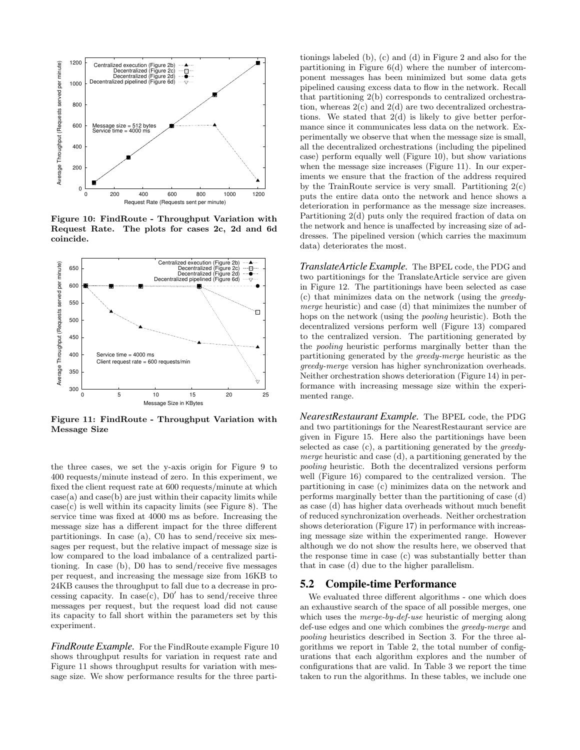

Figure 10: FindRoute - Throughput Variation with Request Rate. The plots for cases 2c, 2d and 6d coincide.



Figure 11: FindRoute - Throughput Variation with Message Size

the three cases, we set the y-axis origin for Figure 9 to 400 requests/minute instead of zero. In this experiment, we fixed the client request rate at 600 requests/minute at which case(a) and case(b) are just within their capacity limits while case(c) is well within its capacity limits (see Figure 8). The service time was fixed at 4000 ms as before. Increasing the message size has a different impact for the three different partitionings. In case (a), C0 has to send/receive six messages per request, but the relative impact of message size is low compared to the load imbalance of a centralized partitioning. In case (b), D0 has to send/receive five messages per request, and increasing the message size from 16KB to 24KB causes the throughput to fall due to a decrease in processing capacity. In case(c),  $D0'$  has to send/receive three messages per request, but the request load did not cause its capacity to fall short within the parameters set by this experiment.

*FindRoute Example.* For the FindRoute example Figure 10 shows throughput results for variation in request rate and Figure 11 shows throughput results for variation with message size. We show performance results for the three partitionings labeled (b), (c) and (d) in Figure 2 and also for the partitioning in Figure 6(d) where the number of intercomponent messages has been minimized but some data gets pipelined causing excess data to flow in the network. Recall that partitioning 2(b) corresponds to centralized orchestration, whereas  $2(c)$  and  $2(d)$  are two decentralized orchestrations. We stated that 2(d) is likely to give better performance since it communicates less data on the network. Experimentally we observe that when the message size is small, all the decentralized orchestrations (including the pipelined case) perform equally well (Figure 10), but show variations when the message size increases (Figure 11). In our experiments we ensure that the fraction of the address required by the TrainRoute service is very small. Partitioning  $2(c)$ puts the entire data onto the network and hence shows a deterioration in performance as the message size increases. Partitioning 2(d) puts only the required fraction of data on the network and hence is unaffected by increasing size of addresses. The pipelined version (which carries the maximum data) deteriorates the most.

*TranslateArticle Example.* The BPEL code, the PDG and two partitionings for the TranslateArticle service are given in Figure 12. The partitionings have been selected as case (c) that minimizes data on the network (using the greedymerge heuristic) and case (d) that minimizes the number of hops on the network (using the pooling heuristic). Both the decentralized versions perform well (Figure 13) compared to the centralized version. The partitioning generated by the pooling heuristic performs marginally better than the partitioning generated by the greedy-merge heuristic as the greedy-merge version has higher synchronization overheads. Neither orchestration shows deterioration (Figure 14) in performance with increasing message size within the experimented range.

*NearestRestaurant Example.* The BPEL code, the PDG and two partitionings for the NearestRestaurant service are given in Figure 15. Here also the partitionings have been selected as case (c), a partitioning generated by the greedymerge heuristic and case (d), a partitioning generated by the pooling heuristic. Both the decentralized versions perform well (Figure 16) compared to the centralized version. The partitioning in case (c) minimizes data on the network and performs marginally better than the partitioning of case (d) as case (d) has higher data overheads without much benefit of reduced synchronization overheads. Neither orchestration shows deterioration (Figure 17) in performance with increasing message size within the experimented range. However although we do not show the results here, we observed that the response time in case (c) was substantially better than that in case (d) due to the higher parallelism.

### **5.2 Compile-time Performance**

We evaluated three different algorithms - one which does an exhaustive search of the space of all possible merges, one which uses the *merge-by-def-use* heuristic of merging along def-use edges and one which combines the greedy-merge and pooling heuristics described in Section 3. For the three algorithms we report in Table 2, the total number of configurations that each algorithm explores and the number of configurations that are valid. In Table 3 we report the time taken to run the algorithms. In these tables, we include one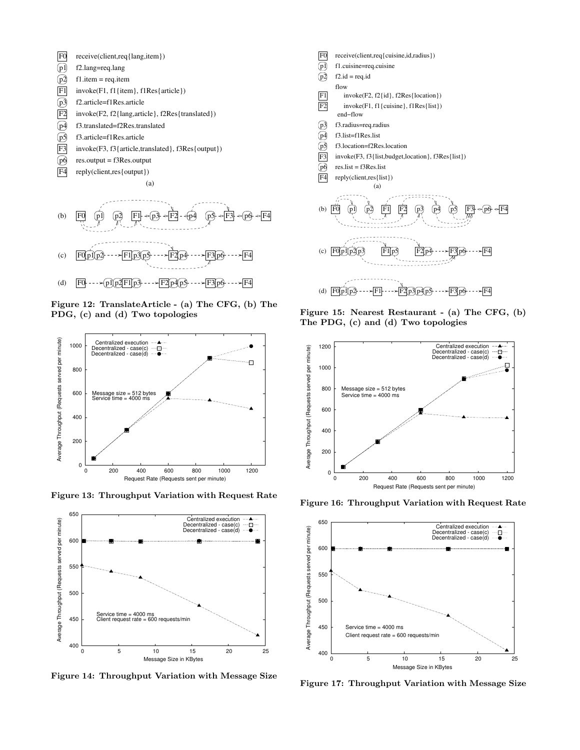

Figure 12: TranslateArticle - (a) The CFG, (b) The PDG, (c) and (d) Two topologies



Figure 13: Throughput Variation with Request Rate



Figure 14: Throughput Variation with Message Size



Figure 15: Nearest Restaurant - (a) The CFG, (b) The PDG, (c) and (d) Two topologies



Figure 16: Throughput Variation with Request Rate



Figure 17: Throughput Variation with Message Size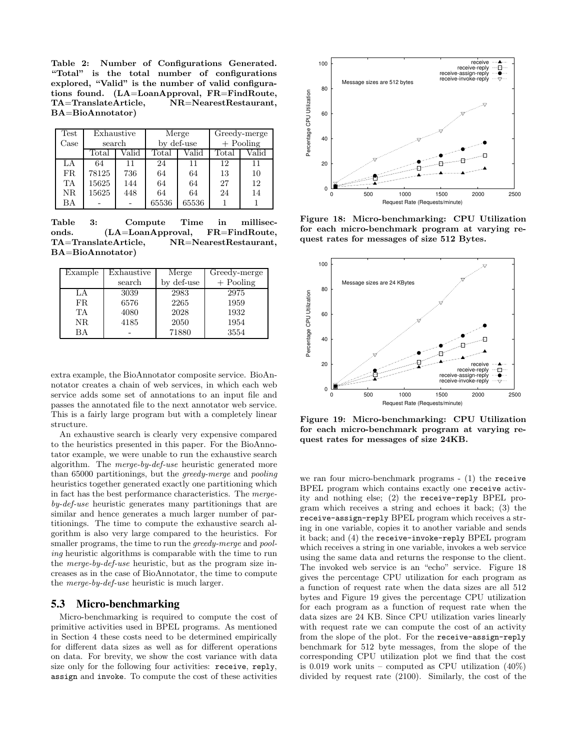Table 2: Number of Configurations Generated. "Total" is the total number of configurations explored, "Valid" is the number of valid configurations found. (LA=LoanApproval, FR=FindRoute,<br>TA=TranslateArticle, NR=NearestRestaurant, NR=NearestRestaurant, BA=BioAnnotator)

| Test | Exhaustive |       |                | Merge |             | Greedy-merge |
|------|------------|-------|----------------|-------|-------------|--------------|
| Case | search     |       | by def-use     |       | $+$ Pooling |              |
|      | Total      | Valid | $\text{Total}$ | Valid | Total       | Valid        |
| LA   | 64         | 11    | 24             | 11    | 12          | 11           |
| FR.  | 78125      | 736   | 64             | 64    | 13          | 10           |
| TA   | 15625      | 144   | 64             | 64    | 27          | 12           |
| NR.  | 15625      | 448   | 64             | 64    | 24          | 14           |
| ВA   |            |       | 65536          | 65536 |             |              |

Table 3: Compute Time in milliseconds. (LA=LoanApproval, FR=FindRoute, TA=TranslateArticle, NR=NearestRestaurant, BA=BioAnnotator)

| Example | Exhaustive | Merge      | Greedy-merge |  |
|---------|------------|------------|--------------|--|
|         | search     | by def-use | $+$ Pooling  |  |
| LA      | 3039       | 2983       | 2975         |  |
| FR.     | 6576       | 2265       | 1959         |  |
| TA      | 4080       | 2028       | 1932         |  |
| NR      | 4185       | 2050       | 1954         |  |
| BA      |            | 71880      | 3554         |  |

extra example, the BioAnnotator composite service. BioAnnotator creates a chain of web services, in which each web service adds some set of annotations to an input file and passes the annotated file to the next annotator web service. This is a fairly large program but with a completely linear structure.

An exhaustive search is clearly very expensive compared to the heuristics presented in this paper. For the BioAnnotator example, we were unable to run the exhaustive search algorithm. The merge-by-def-use heuristic generated more than 65000 partitionings, but the greedy-merge and pooling heuristics together generated exactly one partitioning which in fact has the best performance characteristics. The mergeby-def-use heuristic generates many partitionings that are similar and hence generates a much larger number of partitionings. The time to compute the exhaustive search algorithm is also very large compared to the heuristics. For smaller programs, the time to run the *greedy-merge* and *pool*ing heuristic algorithms is comparable with the time to run the merge-by-def-use heuristic, but as the program size increases as in the case of BioAnnotator, the time to compute the merge-by-def-use heuristic is much larger.

### **5.3 Micro-benchmarking**

Micro-benchmarking is required to compute the cost of primitive activities used in BPEL programs. As mentioned in Section 4 these costs need to be determined empirically for different data sizes as well as for different operations on data. For brevity, we show the cost variance with data size only for the following four activities: receive, reply, assign and invoke. To compute the cost of these activities



Figure 18: Micro-benchmarking: CPU Utilization for each micro-benchmark program at varying request rates for messages of size 512 Bytes.



Figure 19: Micro-benchmarking: CPU Utilization for each micro-benchmark program at varying request rates for messages of size 24KB.

we ran four micro-benchmark programs - (1) the receive BPEL program which contains exactly one receive activity and nothing else; (2) the receive-reply BPEL program which receives a string and echoes it back; (3) the receive-assign-reply BPEL program which receives a string in one variable, copies it to another variable and sends it back; and (4) the receive-invoke-reply BPEL program which receives a string in one variable, invokes a web service using the same data and returns the response to the client. The invoked web service is an "echo" service. Figure 18 gives the percentage CPU utilization for each program as a function of request rate when the data sizes are all 512 bytes and Figure 19 gives the percentage CPU utilization for each program as a function of request rate when the data sizes are 24 KB. Since CPU utilization varies linearly with request rate we can compute the cost of an activity from the slope of the plot. For the receive-assign-reply benchmark for 512 byte messages, from the slope of the corresponding CPU utilization plot we find that the cost is 0.019 work units – computed as CPU utilization  $(40\%)$ divided by request rate (2100). Similarly, the cost of the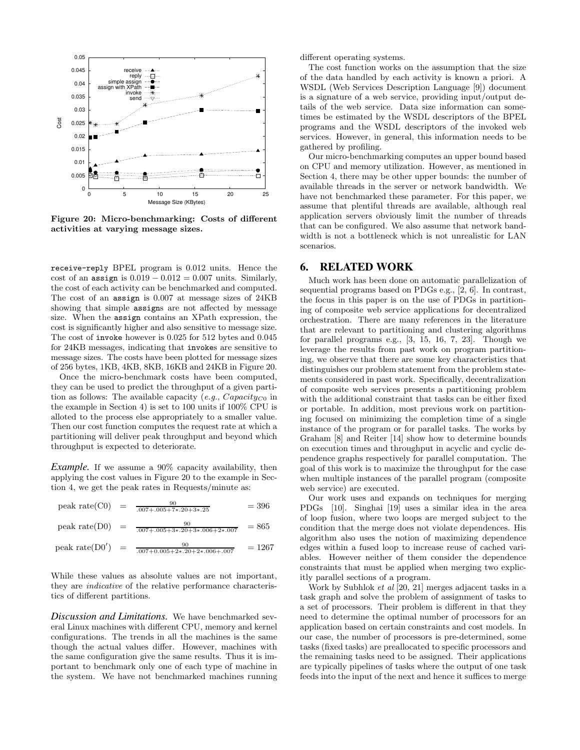

Figure 20: Micro-benchmarking: Costs of different activities at varying message sizes.

receive-reply BPEL program is 0.012 units. Hence the cost of an assign is  $0.019 - 0.012 = 0.007$  units. Similarly, the cost of each activity can be benchmarked and computed. The cost of an assign is 0.007 at message sizes of 24KB showing that simple assigns are not affected by message size. When the assign contains an XPath expression, the cost is significantly higher and also sensitive to message size. The cost of invoke however is 0.025 for 512 bytes and 0.045 for 24KB messages, indicating that invokes are sensitive to message sizes. The costs have been plotted for message sizes of 256 bytes, 1KB, 4KB, 8KB, 16KB and 24KB in Figure 20.

Once the micro-benchmark costs have been computed, they can be used to predict the throughput of a given partition as follows: The available capacity (e.g.,  $Capacity_{C0}$  in the example in Section 4) is set to 100 units if 100% CPU is alloted to the process else appropriately to a smaller value. Then our cost function computes the request rate at which a partitioning will deliver peak throughput and beyond which throughput is expected to deteriorate.

*Example.* If we assume a 90% capacity availability, then applying the cost values in Figure 20 to the example in Section 4, we get the peak rates in Requests/minute as:

peak rate(C0) = 
$$
\frac{90}{.007 + .005 + 7 * .20 + 3 * .25}
$$
 = 396

$$
\text{peak rate}(\text{D0}) = \frac{90}{.007 + .005 + 3 * .20 + 3 * .006 + 2 * .007} = 865
$$

$$
peak\ rate(D0') = \frac{90}{.007 + 0.005 + 2*.20 + 2*.006 + .007} = 1267
$$

While these values as absolute values are not important, they are indicative of the relative performance characteristics of different partitions.

*Discussion and Limitations.* We have benchmarked several Linux machines with different CPU, memory and kernel configurations. The trends in all the machines is the same though the actual values differ. However, machines with the same configuration give the same results. Thus it is important to benchmark only one of each type of machine in the system. We have not benchmarked machines running different operating systems.

The cost function works on the assumption that the size of the data handled by each activity is known a priori. A WSDL (Web Services Description Language [9]) document is a signature of a web service, providing input/output details of the web service. Data size information can sometimes be estimated by the WSDL descriptors of the BPEL programs and the WSDL descriptors of the invoked web services. However, in general, this information needs to be gathered by profiling.

Our micro-benchmarking computes an upper bound based on CPU and memory utilization. However, as mentioned in Section 4, there may be other upper bounds: the number of available threads in the server or network bandwidth. We have not benchmarked these parameter. For this paper, we assume that plentiful threads are available, although real application servers obviously limit the number of threads that can be configured. We also assume that network bandwidth is not a bottleneck which is not unrealistic for LAN scenarios.

### **6. RELATED WORK**

Much work has been done on automatic parallelization of sequential programs based on PDGs e.g., [2, 6]. In contrast, the focus in this paper is on the use of PDGs in partitioning of composite web service applications for decentralized orchestration. There are many references in the literature that are relevant to partitioning and clustering algorithms for parallel programs e.g., [3, 15, 16, 7, 23]. Though we leverage the results from past work on program partitioning, we observe that there are some key characteristics that distinguishes our problem statement from the problem statements considered in past work. Specifically, decentralization of composite web services presents a partitioning problem with the additional constraint that tasks can be either fixed or portable. In addition, most previous work on partitioning focused on minimizing the completion time of a single instance of the program or for parallel tasks. The works by Graham [8] and Reiter [14] show how to determine bounds on execution times and throughput in acyclic and cyclic dependence graphs respectively for parallel computation. The goal of this work is to maximize the throughput for the case when multiple instances of the parallel program (composite web service) are executed.

Our work uses and expands on techniques for merging PDGs [10]. Singhai [19] uses a similar idea in the area of loop fusion, where two loops are merged subject to the condition that the merge does not violate dependences. His algorithm also uses the notion of maximizing dependence edges within a fused loop to increase reuse of cached variables. However neither of them consider the dependence constraints that must be applied when merging two explicitly parallel sections of a program.

Work by Subhlok et al [20, 21] merges adjacent tasks in a task graph and solve the problem of assignment of tasks to a set of processors. Their problem is different in that they need to determine the optimal number of processors for an application based on certain constraints and cost models. In our case, the number of processors is pre-determined, some tasks (fixed tasks) are preallocated to specific processors and the remaining tasks need to be assigned. Their applications are typically pipelines of tasks where the output of one task feeds into the input of the next and hence it suffices to merge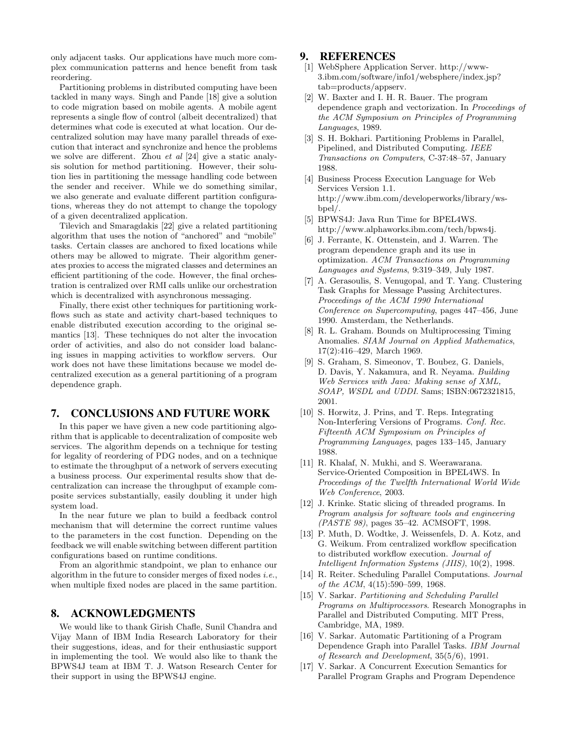only adjacent tasks. Our applications have much more complex communication patterns and hence benefit from task reordering.

Partitioning problems in distributed computing have been tackled in many ways. Singh and Pande [18] give a solution to code migration based on mobile agents. A mobile agent represents a single flow of control (albeit decentralized) that determines what code is executed at what location. Our decentralized solution may have many parallel threads of execution that interact and synchronize and hence the problems we solve are different. Zhou et al [24] give a static analysis solution for method partitioning. However, their solution lies in partitioning the message handling code between the sender and receiver. While we do something similar, we also generate and evaluate different partition configurations, whereas they do not attempt to change the topology of a given decentralized application.

Tilevich and Smaragdakis [22] give a related partitioning algorithm that uses the notion of "anchored" and "mobile" tasks. Certain classes are anchored to fixed locations while others may be allowed to migrate. Their algorithm generates proxies to access the migrated classes and determines an efficient partitioning of the code. However, the final orchestration is centralized over RMI calls unlike our orchestration which is decentralized with asynchronous messaging.

Finally, there exist other techniques for partitioning workflows such as state and activity chart-based techniques to enable distributed execution according to the original semantics [13]. These techniques do not alter the invocation order of activities, and also do not consider load balancing issues in mapping activities to workflow servers. Our work does not have these limitations because we model decentralized execution as a general partitioning of a program dependence graph.

# **7. CONCLUSIONS AND FUTURE WORK**

In this paper we have given a new code partitioning algorithm that is applicable to decentralization of composite web services. The algorithm depends on a technique for testing for legality of reordering of PDG nodes, and on a technique to estimate the throughput of a network of servers executing a business process. Our experimental results show that decentralization can increase the throughput of example composite services substantially, easily doubling it under high system load.

In the near future we plan to build a feedback control mechanism that will determine the correct runtime values to the parameters in the cost function. Depending on the feedback we will enable switching between different partition configurations based on runtime conditions.

From an algorithmic standpoint, we plan to enhance our algorithm in the future to consider merges of fixed nodes *i.e.*, when multiple fixed nodes are placed in the same partition.

# **8. ACKNOWLEDGMENTS**

We would like to thank Girish Chafle, Sunil Chandra and Vijay Mann of IBM India Research Laboratory for their their suggestions, ideas, and for their enthusiastic support in implementing the tool. We would also like to thank the BPWS4J team at IBM T. J. Watson Research Center for their support in using the BPWS4J engine.

# **9. REFERENCES**

- [1] WebSphere Application Server. http://www-3.ibm.com/software/info1/websphere/index.jsp? tab=products/appserv.
- [2] W. Baxter and I. H. R. Bauer. The program dependence graph and vectorization. In Proceedings of the ACM Symposium on Principles of Programming Languages, 1989.
- [3] S. H. Bokhari. Partitioning Problems in Parallel, Pipelined, and Distributed Computing. IEEE Transactions on Computers, C-37:48–57, January 1988.
- [4] Business Process Execution Language for Web Services Version 1.1. http://www.ibm.com/developerworks/library/wsbpel/.
- [5] BPWS4J: Java Run Time for BPEL4WS. http://www.alphaworks.ibm.com/tech/bpws4j.
- [6] J. Ferrante, K. Ottenstein, and J. Warren. The program dependence graph and its use in optimization. ACM Transactions on Programming Languages and Systems, 9:319–349, July 1987.
- [7] A. Gerasoulis, S. Venugopal, and T. Yang. Clustering Task Graphs for Message Passing Architectures. Proceedings of the ACM 1990 International Conference on Supercomputing, pages 447–456, June 1990. Amsterdam, the Netherlands.
- [8] R. L. Graham. Bounds on Multiprocessing Timing Anomalies. SIAM Journal on Applied Mathematics, 17(2):416–429, March 1969.
- [9] S. Graham, S. Simeonov, T. Boubez, G. Daniels, D. Davis, Y. Nakamura, and R. Neyama. Building Web Services with Java: Making sense of XML, SOAP, WSDL and UDDI. Sams; ISBN:0672321815, 2001.
- [10] S. Horwitz, J. Prins, and T. Reps. Integrating Non-Interfering Versions of Programs. Conf. Rec. Fifteenth ACM Symposium on Principles of Programming Languages, pages 133–145, January 1988.
- [11] R. Khalaf, N. Mukhi, and S. Weerawarana. Service-Oriented Composition in BPEL4WS. In Proceedings of the Twelfth International World Wide Web Conference, 2003.
- [12] J. Krinke. Static slicing of threaded programs. In Program analysis for software tools and engineering (PASTE 98), pages 35–42. ACMSOFT, 1998.
- [13] P. Muth, D. Wodtke, J. Weissenfels, D. A. Kotz, and G. Weikum. From centralized workflow specification to distributed workflow execution. Journal of Intelligent Information Systems (JIIS), 10(2), 1998.
- [14] R. Reiter. Scheduling Parallel Computations. Journal of the ACM, 4(15):590–599, 1968.
- [15] V. Sarkar. Partitioning and Scheduling Parallel Programs on Multiprocessors. Research Monographs in Parallel and Distributed Computing. MIT Press, Cambridge, MA, 1989.
- [16] V. Sarkar. Automatic Partitioning of a Program Dependence Graph into Parallel Tasks. IBM Journal of Research and Development, 35(5/6), 1991.
- [17] V. Sarkar. A Concurrent Execution Semantics for Parallel Program Graphs and Program Dependence